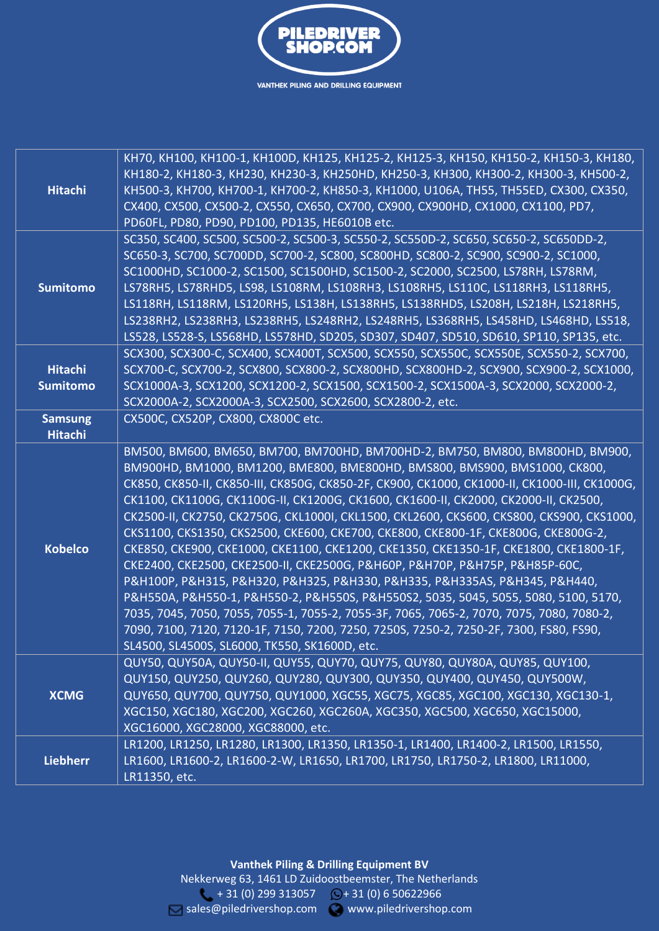

| <b>Hitachi</b>                    | КН70, КН100, КН100-1, КН100D, КН125, КН125-2, КН125-3, КН150, КН150-2, КН150-3, КН180,<br>КН180-2, КН180-3, КН230, КН230-3, КН250НD, КН250-3, КН300, КН300-2, КН300-3, КН500-2,<br>КН500-3, КН700, КН700-1, КН700-2, КН850-3, КН1000, U106A, TH55, TH55ED, CX300, CX350,<br>CX400, CX500, CX500-2, CX550, CX650, CX700, CX900, CX900HD, CX1000, CX1100, PD7,<br>PD60FL, PD80, PD90, PD100, PD135, HE6010B etc.                                                                                                                                                                                                                                                                                                                                                                                                                                                                                                                                                                                                                                                                                                         |
|-----------------------------------|------------------------------------------------------------------------------------------------------------------------------------------------------------------------------------------------------------------------------------------------------------------------------------------------------------------------------------------------------------------------------------------------------------------------------------------------------------------------------------------------------------------------------------------------------------------------------------------------------------------------------------------------------------------------------------------------------------------------------------------------------------------------------------------------------------------------------------------------------------------------------------------------------------------------------------------------------------------------------------------------------------------------------------------------------------------------------------------------------------------------|
| <b>Sumitomo</b>                   | SC350, SC400, SC500, SC500-2, SC500-3, SC550-2, SC550D-2, SC650, SC650-2, SC650DD-2,<br>SC650-3, SC700, SC700DD, SC700-2, SC800, SC800HD, SC800-2, SC900, SC900-2, SC1000,<br>SC1000HD, SC1000-2, SC1500, SC1500HD, SC1500-2, SC2000, SC2500, LS78RH, LS78RM,<br>LS78RH5, LS78RHD5, LS98, LS108RM, LS108RH3, LS108RH5, LS110C, LS118RH3, LS118RH5,<br>LS118RH, LS118RM, LS120RH5, LS138H, LS138RH5, LS138RHD5, LS208H, LS218H, LS218RH5,<br>LS238RH2, LS238RH3, LS238RH5, LS248RH2, LS248RH5, LS368RH5, LS458HD, LS468HD, LS518,<br>LS528, LS528-S, LS568HD, LS578HD, SD205, SD307, SD407, SD510, SD610, SP110, SP135, etc.                                                                                                                                                                                                                                                                                                                                                                                                                                                                                            |
| <b>Hitachi</b><br><b>Sumitomo</b> | SCX300, SCX300-C, SCX400, SCX400T, SCX500, SCX550, SCX550C, SCX550E, SCX550-2, SCX700,<br>SCX700-C, SCX700-2, SCX800, SCX800-2, SCX800HD, SCX800HD-2, SCX900, SCX900-2, SCX1000,<br>SCX1000A-3, SCX1200, SCX1200-2, SCX1500, SCX1500-2, SCX1500A-3, SCX2000, SCX2000-2,<br>SCX2000A-2, SCX2000A-3, SCX2500, SCX2600, SCX2800-2, etc.                                                                                                                                                                                                                                                                                                                                                                                                                                                                                                                                                                                                                                                                                                                                                                                   |
| <b>Samsung</b><br><b>Hitachi</b>  | CX500C, CX520P, CX800, CX800C etc.                                                                                                                                                                                                                                                                                                                                                                                                                                                                                                                                                                                                                                                                                                                                                                                                                                                                                                                                                                                                                                                                                     |
| <b>Kobelco</b>                    | ВМ500, ВМ600, ВМ650, ВМ700, ВМ700НD, ВМ700НD-2, ВМ750, ВМ800, ВМ800НD, ВМ900,<br>BM900HD, BM1000, BM1200, BME800, BME800HD, BMS800, BMS900, BMS1000, CK800,<br>CK850, CK850-II, CK850-III, CK850G, CK850-2F, CK900, CK1000, CK1000-II, CK1000-III, CK1000G,<br>CK1100, CK1100G, CK1100G-II, CK1200G, CK1600, CK1600-II, CK2000, CK2000-II, CK2500,<br>CK2500-II, CK2750, CK2750G, CKL1000I, CKL1500, CKL2600, CKS600, CKS800, CKS900, CKS1000,<br>CKS1100, CKS1350, CKS2500, CKE600, CKE700, CKE800, CKE800-1F, CKE800G, CKE800G-2,<br>CKE850, CKE900, CKE1000, CKE1100, CKE1200, CKE1350, CKE1350-1F, CKE1800, CKE1800-1F,<br>CKE2400, CKE2500, CKE2500-II, CKE2500G, P&H60P, P&H70P, P&H75P, P&H85P-60C,<br>P&H100P, P&H315, P&H320, P&H325, P&H330, P&H335, P&H335AS, P&H345, P&H440,<br>P&H550A, P&H550-1, P&H550-2, P&H550S, P&H550S2, 5035, 5045, 5055, 5080, 5100, 5170,<br>7035, 7045, 7050, 7055, 7055-1, 7055-2, 7055-3F, 7065, 7065-2, 7070, 7075, 7080, 7080-2,<br>7090, 7100, 7120, 7120-1F, 7150, 7200, 7250, 7250S, 7250-2, 7250-2F, 7300, FS80, FS90,<br>SL4500, SL4500S, SL6000, TK550, SK1600D, etc. |
| <b>XCMG</b>                       | QUY50, QUY50A, QUY50-II, QUY55, QUY70, QUY75, QUY80, QUY80A, QUY85, QUY100,<br>QUY150, QUY250, QUY260, QUY280, QUY300, QUY350, QUY400, QUY450, QUY500W,<br>QUY650, QUY700, QUY750, QUY1000, XGC55, XGC75, XGC85, XGC100, XGC130, XGC130-1,<br>XGC150, XGC180, XGC200, XGC260, XGC260A, XGC350, XGC500, XGC650, XGC15000,<br>XGC16000, XGC28000, XGC88000, etc.                                                                                                                                                                                                                                                                                                                                                                                                                                                                                                                                                                                                                                                                                                                                                         |
| <b>Liebherr</b>                   | LR1200, LR1250, LR1280, LR1300, LR1350, LR1350-1, LR1400, LR1400-2, LR1500, LR1550,<br>LR1600, LR1600-2, LR1600-2-W, LR1650, LR1700, LR1750, LR1750-2, LR1800, LR11000,<br>LR11350, etc.                                                                                                                                                                                                                                                                                                                                                                                                                                                                                                                                                                                                                                                                                                                                                                                                                                                                                                                               |

**Vanthek Piling & Drilling Equipment BV** Nekkerweg 63, 1461 LD Zuidoostbeemster, The Netherlands  $+ 31 (0) 299 313057$  $+ 31 (0) 299 313057$   $\bigcirc$  + 31 (0) 6 50622966 [sales@piledrivershop.com](mailto:sales@piledrivershop.com) www.piledrivershop.com